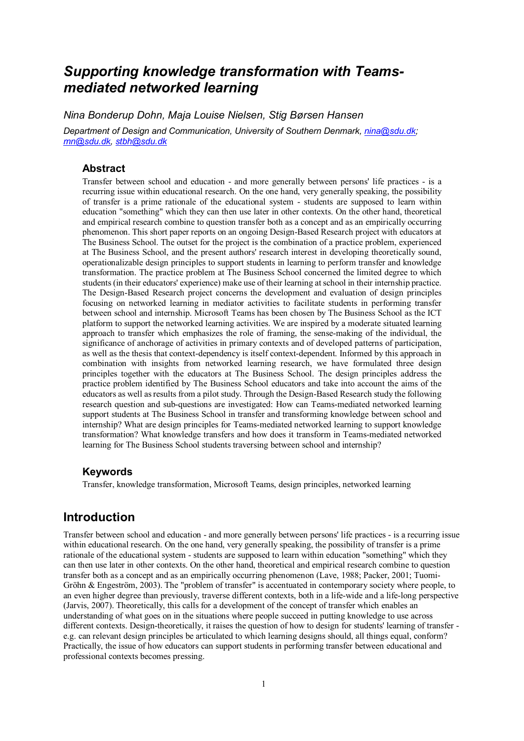# *Supporting knowledge transformation with Teamsmediated networked learning*

*Nina Bonderup Dohn, Maja Louise Nielsen, Stig Børsen Hansen*

*Department of Design and Communication, University of Southern Denmark, [nina@sdu.dk;](mailto:nina@sdu.dk) [mn@sdu.dk,](mailto:mn@sdu.dk) [stbh@sdu.dk](mailto:stbh@sdu.dk)*

### **Abstract**

Transfer between school and education - and more generally between persons' life practices - is a recurring issue within educational research. On the one hand, very generally speaking, the possibility of transfer is a prime rationale of the educational system - students are supposed to learn within education "something" which they can then use later in other contexts. On the other hand, theoretical and empirical research combine to question transfer both as a concept and as an empirically occurring phenomenon. This short paper reports on an ongoing Design-Based Research project with educators at The Business School. The outset for the project is the combination of a practice problem, experienced at The Business School, and the present authors' research interest in developing theoretically sound, operationalizable design principles to support students in learning to perform transfer and knowledge transformation. The practice problem at The Business School concerned the limited degree to which students (in their educators' experience) make use of their learning at school in their internship practice. The Design-Based Research project concerns the development and evaluation of design principles focusing on networked learning in mediator activities to facilitate students in performing transfer between school and internship. Microsoft Teams has been chosen by The Business School as the ICT platform to support the networked learning activities. We are inspired by a moderate situated learning approach to transfer which emphasizes the role of framing, the sense-making of the individual, the significance of anchorage of activities in primary contexts and of developed patterns of participation, as well as the thesis that context-dependency is itself context-dependent. Informed by this approach in combination with insights from networked learning research, we have formulated three design principles together with the educators at The Business School. The design principles address the practice problem identified by The Business School educators and take into account the aims of the educators as well as results from a pilot study. Through the Design-Based Research study the following research question and sub-questions are investigated: How can Teams-mediated networked learning support students at The Business School in transfer and transforming knowledge between school and internship? What are design principles for Teams-mediated networked learning to support knowledge transformation? What knowledge transfers and how does it transform in Teams-mediated networked learning for The Business School students traversing between school and internship?

#### **Keywords**

Transfer, knowledge transformation, Microsoft Teams, design principles, networked learning

### **Introduction**

Transfer between school and education - and more generally between persons' life practices - is a recurring issue within educational research. On the one hand, very generally speaking, the possibility of transfer is a prime rationale of the educational system - students are supposed to learn within education "something" which they can then use later in other contexts. On the other hand, theoretical and empirical research combine to question transfer both as a concept and as an empirically occurring phenomenon (Lave, 1988; Packer, 2001; Tuomi-Gröhn & Engeström, 2003). The "problem of transfer" is accentuated in contemporary society where people, to an even higher degree than previously, traverse different contexts, both in a life-wide and a life-long perspective (Jarvis, 2007). Theoretically, this calls for a development of the concept of transfer which enables an understanding of what goes on in the situations where people succeed in putting knowledge to use across different contexts. Design-theoretically, it raises the question of how to design for students' learning of transfer e.g. can relevant design principles be articulated to which learning designs should, all things equal, conform? Practically, the issue of how educators can support students in performing transfer between educational and professional contexts becomes pressing.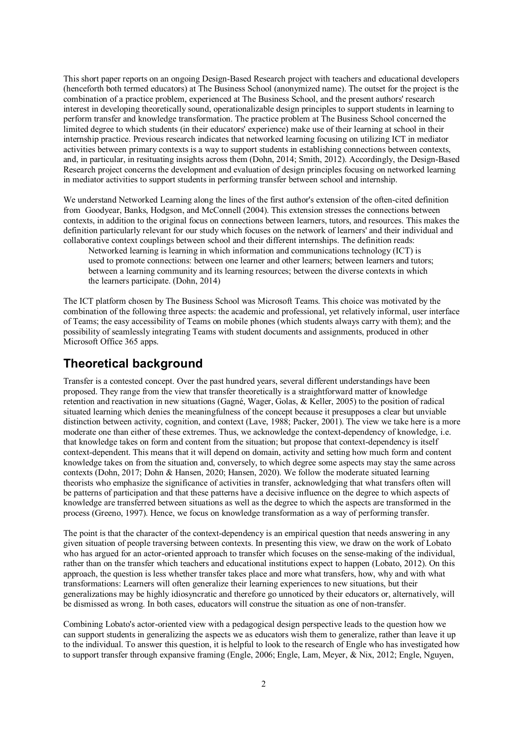This short paper reports on an ongoing Design-Based Research project with teachers and educational developers (henceforth both termed educators) at The Business School (anonymized name). The outset for the project is the combination of a practice problem, experienced at The Business School, and the present authors' research interest in developing theoretically sound, operationalizable design principles to support students in learning to perform transfer and knowledge transformation. The practice problem at The Business School concerned the limited degree to which students (in their educators' experience) make use of their learning at school in their internship practice. Previous research indicates that networked learning focusing on utilizing ICT in mediator activities between primary contexts is a way to support students in establishing connections between contexts, and, in particular, in resituating insights across them (Dohn, 2014; Smith, 2012). Accordingly, the Design-Based Research project concerns the development and evaluation of design principles focusing on networked learning in mediator activities to support students in performing transfer between school and internship.

We understand Networked Learning along the lines of the first author's extension of the often-cited definition from Goodyear, Banks, Hodgson, and McConnell (2004). This extension stresses the connections between contexts, in addition to the original focus on connections between learners, tutors, and resources. This makes the definition particularly relevant for our study which focuses on the network of learners' and their individual and collaborative context couplings between school and their different internships. The definition reads:

Networked learning is learning in which information and communications technology (ICT) is used to promote connections: between one learner and other learners; between learners and tutors; between a learning community and its learning resources; between the diverse contexts in which the learners participate. (Dohn, 2014)

The ICT platform chosen by The Business School was Microsoft Teams. This choice was motivated by the combination of the following three aspects: the academic and professional, yet relatively informal, user interface of Teams; the easy accessibility of Teams on mobile phones (which students always carry with them); and the possibility of seamlessly integrating Teams with student documents and assignments, produced in other Microsoft Office 365 apps.

## **Theoretical background**

Transfer is a contested concept. Over the past hundred years, several different understandings have been proposed. They range from the view that transfer theoretically is a straightforward matter of knowledge retention and reactivation in new situations (Gagné, Wager, Golas, & Keller, 2005) to the position of radical situated learning which denies the meaningfulness of the concept because it presupposes a clear but unviable distinction between activity, cognition, and context (Lave, 1988; Packer, 2001). The view we take here is a more moderate one than either of these extremes. Thus, we acknowledge the context-dependency of knowledge, i.e. that knowledge takes on form and content from the situation; but propose that context-dependency is itself context-dependent. This means that it will depend on domain, activity and setting how much form and content knowledge takes on from the situation and, conversely, to which degree some aspects may stay the same across contexts (Dohn, 2017; Dohn & Hansen, 2020; Hansen, 2020). We follow the moderate situated learning theorists who emphasize the significance of activities in transfer, acknowledging that what transfers often will be patterns of participation and that these patterns have a decisive influence on the degree to which aspects of knowledge are transferred between situations as well as the degree to which the aspects are transformed in the process (Greeno, 1997). Hence, we focus on knowledge transformation as a way of performing transfer.

The point is that the character of the context-dependency is an empirical question that needs answering in any given situation of people traversing between contexts. In presenting this view, we draw on the work of Lobato who has argued for an actor-oriented approach to transfer which focuses on the sense-making of the individual, rather than on the transfer which teachers and educational institutions expect to happen (Lobato, 2012). On this approach, the question is less whether transfer takes place and more what transfers, how, why and with what transformations: Learners will often generalize their learning experiences to new situations, but their generalizations may be highly idiosyncratic and therefore go unnoticed by their educators or, alternatively, will be dismissed as wrong. In both cases, educators will construe the situation as one of non-transfer.

Combining Lobato's actor-oriented view with a pedagogical design perspective leads to the question how we can support students in generalizing the aspects we as educators wish them to generalize, rather than leave it up to the individual. To answer this question, it is helpful to look to the research of Engle who has investigated how to support transfer through expansive framing (Engle, 2006; Engle, Lam, Meyer, & Nix, 2012; Engle, Nguyen,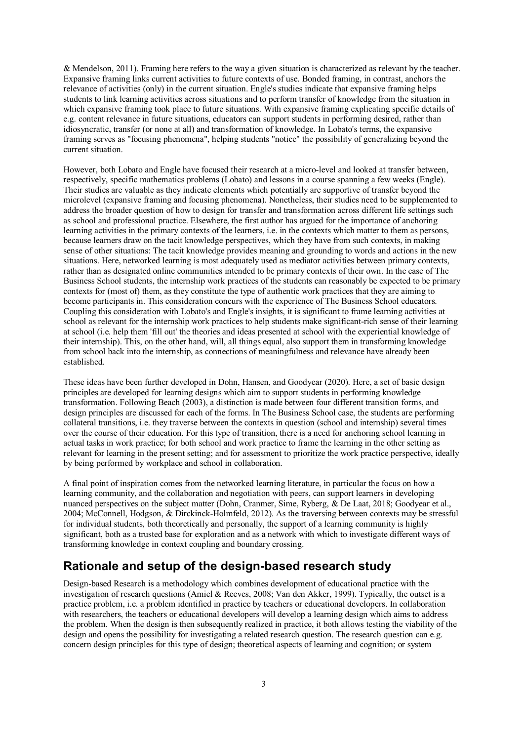& Mendelson, 2011). Framing here refers to the way a given situation is characterized as relevant by the teacher. Expansive framing links current activities to future contexts of use. Bonded framing, in contrast, anchors the relevance of activities (only) in the current situation. Engle's studies indicate that expansive framing helps students to link learning activities across situations and to perform transfer of knowledge from the situation in which expansive framing took place to future situations. With expansive framing explicating specific details of e.g. content relevance in future situations, educators can support students in performing desired, rather than idiosyncratic, transfer (or none at all) and transformation of knowledge. In Lobato's terms, the expansive framing serves as "focusing phenomena", helping students "notice" the possibility of generalizing beyond the current situation.

However, both Lobato and Engle have focused their research at a micro-level and looked at transfer between, respectively, specific mathematics problems (Lobato) and lessons in a course spanning a few weeks (Engle). Their studies are valuable as they indicate elements which potentially are supportive of transfer beyond the microlevel (expansive framing and focusing phenomena). Nonetheless, their studies need to be supplemented to address the broader question of how to design for transfer and transformation across different life settings such as school and professional practice. Elsewhere, the first author has argued for the importance of anchoring learning activities in the primary contexts of the learners, i.e. in the contexts which matter to them as persons, because learners draw on the tacit knowledge perspectives, which they have from such contexts, in making sense of other situations: The tacit knowledge provides meaning and grounding to words and actions in the new situations. Here, networked learning is most adequately used as mediator activities between primary contexts, rather than as designated online communities intended to be primary contexts of their own. In the case of The Business School students, the internship work practices of the students can reasonably be expected to be primary contexts for (most of) them, as they constitute the type of authentic work practices that they are aiming to become participants in. This consideration concurs with the experience of The Business School educators. Coupling this consideration with Lobato's and Engle's insights, it is significant to frame learning activities at school as relevant for the internship work practices to help students make significant-rich sense of their learning at school (i.e. help them 'fill out' the theories and ideas presented at school with the experiential knowledge of their internship). This, on the other hand, will, all things equal, also support them in transforming knowledge from school back into the internship, as connections of meaningfulness and relevance have already been established.

These ideas have been further developed in Dohn, Hansen, and Goodyear (2020). Here, a set of basic design principles are developed for learning designs which aim to support students in performing knowledge transformation. Following Beach (2003), a distinction is made between four different transition forms, and design principles are discussed for each of the forms. In The Business School case, the students are performing collateral transitions, i.e. they traverse between the contexts in question (school and internship) several times over the course of their education. For this type of transition, there is a need for anchoring school learning in actual tasks in work practice; for both school and work practice to frame the learning in the other setting as relevant for learning in the present setting; and for assessment to prioritize the work practice perspective, ideally by being performed by workplace and school in collaboration.

A final point of inspiration comes from the networked learning literature, in particular the focus on how a learning community, and the collaboration and negotiation with peers, can support learners in developing nuanced perspectives on the subject matter (Dohn, Cranmer, Sime, Ryberg, & De Laat, 2018; Goodyear et al., 2004; McConnell, Hodgson, & Dirckinck-Holmfeld, 2012). As the traversing between contexts may be stressful for individual students, both theoretically and personally, the support of a learning community is highly significant, both as a trusted base for exploration and as a network with which to investigate different ways of transforming knowledge in context coupling and boundary crossing.

# **Rationale and setup of the design-based research study**

Design-based Research is a methodology which combines development of educational practice with the investigation of research questions (Amiel & Reeves, 2008; Van den Akker, 1999). Typically, the outset is a practice problem, i.e. a problem identified in practice by teachers or educational developers. In collaboration with researchers, the teachers or educational developers will develop a learning design which aims to address the problem. When the design is then subsequently realized in practice, it both allows testing the viability of the design and opens the possibility for investigating a related research question. The research question can e.g. concern design principles for this type of design; theoretical aspects of learning and cognition; or system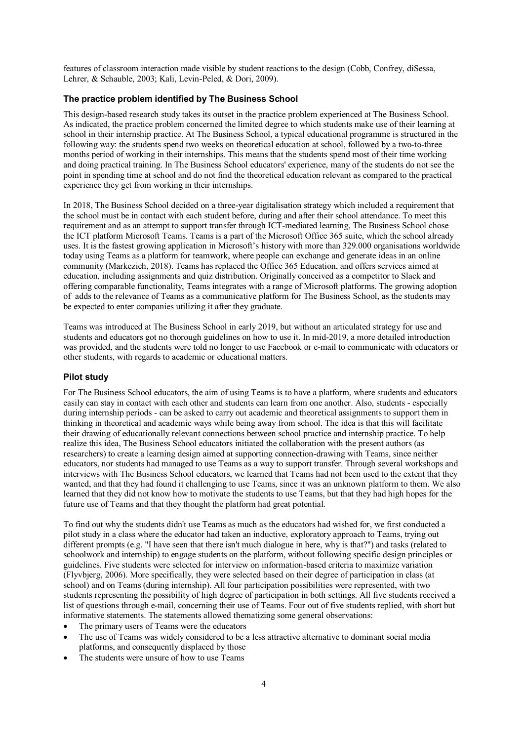features of classroom interaction made visible by student reactions to the design (Cobb, Confrey, diSessa, Lehrer, & Schauble, 2003; Kali, Levin-Peled, & Dori, 2009).

#### **The practice problem identified by The Business School**

This design-based research study takes its outset in the practice problem experienced at The Business School. As indicated, the practice problem concerned the limited degree to which students make use of their learning at school in their internship practice. At The Business School, a typical educational programme is structured in the following way: the students spend two weeks on theoretical education at school, followed by a two-to-three months period of working in their internships. This means that the students spend most of their time working and doing practical training. In The Business School educators' experience, many of the students do not see the point in spending time at school and do not find the theoretical education relevant as compared to the practical experience they get from working in their internships.

In 2018, The Business School decided on a three-year digitalisation strategy which included a requirement that the school must be in contact with each student before, during and after their school attendance. To meet this requirement and as an attempt to support transfer through ICT-mediated learning, The Business School chose the ICT platform Microsoft Teams. Teams is a part of the Microsoft Office 365 suite, which the school already uses. It is the fastest growing application in Microsoft's historywith more than 329.000 organisations worldwide today using Teams as a platform for teamwork, where people can exchange and generate ideas in an online community (Markezich, 2018). Teams has replaced the Office 365 Education, and offers services aimed at education, including assignments and quiz distribution. Originally conceived as a competitor to Slack and offering comparable functionality, Teams integrates with a range of Microsoft platforms. The growing adoption of adds to the relevance of Teams as a communicative platform for The Business School, as the students may be expected to enter companies utilizing it after they graduate.

Teams was introduced at The Business School in early 2019, but without an articulated strategy for use and students and educators got no thorough guidelines on how to use it. In mid-2019, a more detailed introduction was provided, and the students were told no longer to use Facebook or e-mail to communicate with educators or other students, with regards to academic or educational matters.

#### **Pilot study**

For The Business School educators, the aim of using Teams is to have a platform, where students and educators easily can stay in contact with each other and students can learn from one another. Also, students - especially during internship periods - can be asked to carry out academic and theoretical assignments to support them in thinking in theoretical and academic ways while being away from school. The idea is that this will facilitate their drawing of educationally relevant connections between school practice and internship practice. To help realize this idea, The Business School educators initiated the collaboration with the present authors (as researchers) to create a learning design aimed at supporting connection-drawing with Teams, since neither educators, nor students had managed to use Teams as a way to support transfer. Through several workshops and interviews with The Business School educators, we learned that Teams had not been used to the extent that they wanted, and that they had found it challenging to use Teams, since it was an unknown platform to them. We also learned that they did not know how to motivate the students to use Teams, but that they had high hopes for the future use of Teams and that they thought the platform had great potential.

To find out why the students didn't use Teams as much as the educators had wished for, we first conducted a pilot study in a class where the educator had taken an inductive, exploratory approach to Teams, trying out different prompts (e.g. "I have seen that there isn't much dialogue in here, why is that?") and tasks (related to schoolwork and internship) to engage students on the platform, without following specific design principles or guidelines. Five students were selected for interview on information-based criteria to maximize variation (Flyvbjerg, 2006). More specifically, they were selected based on their degree of participation in class (at school) and on Teams (during internship). All four participation possibilities were represented, with two students representing the possibility of high degree of participation in both settings. All five students received a list of questions through e-mail, concerning their use of Teams. Four out of five students replied, with short but informative statements. The statements allowed thematizing some general observations:

- The primary users of Teams were the educators
- The use of Teams was widely considered to be a less attractive alternative to dominant social media platforms, and consequently displaced by those
- The students were unsure of how to use Teams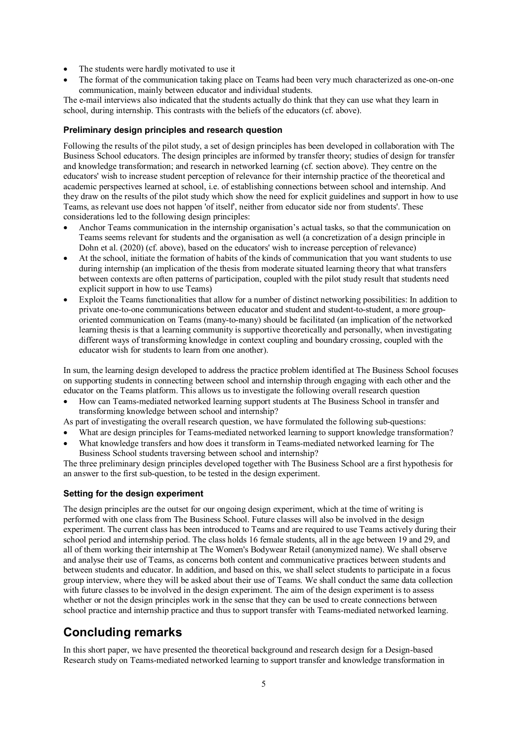- The students were hardly motivated to use it
- The format of the communication taking place on Teams had been very much characterized as one-on-one communication, mainly between educator and individual students.

The e-mail interviews also indicated that the students actually do think that they can use what they learn in school, during internship. This contrasts with the beliefs of the educators (cf. above).

#### **Preliminary design principles and research question**

Following the results of the pilot study, a set of design principles has been developed in collaboration with The Business School educators. The design principles are informed by transfer theory; studies of design for transfer and knowledge transformation; and research in networked learning (cf. section above). They centre on the educators' wish to increase student perception of relevance for their internship practice of the theoretical and academic perspectives learned at school, i.e. of establishing connections between school and internship. And they draw on the results of the pilot study which show the need for explicit guidelines and support in how to use Teams, as relevant use does not happen 'of itself', neither from educator side nor from students'. These considerations led to the following design principles:

- Anchor Teams communication in the internship organisation's actual tasks, so that the communication on Teams seems relevant for students and the organisation as well (a concretization of a design principle in Dohn et al. (2020) (cf. above), based on the educators' wish to increase perception of relevance)
- At the school, initiate the formation of habits of the kinds of communication that you want students to use during internship (an implication of the thesis from moderate situated learning theory that what transfers between contexts are often patterns of participation, coupled with the pilot study result that students need explicit support in how to use Teams)
- Exploit the Teams functionalities that allow for a number of distinct networking possibilities: In addition to private one-to-one communications between educator and student and student-to-student, a more grouporiented communication on Teams (many-to-many) should be facilitated (an implication of the networked learning thesis is that a learning community is supportive theoretically and personally, when investigating different ways of transforming knowledge in context coupling and boundary crossing, coupled with the educator wish for students to learn from one another).

In sum, the learning design developed to address the practice problem identified at The Business School focuses on supporting students in connecting between school and internship through engaging with each other and the educator on the Teams platform. This allows us to investigate the following overall research question

• How can Teams-mediated networked learning support students at The Business School in transfer and transforming knowledge between school and internship?

As part of investigating the overall research question, we have formulated the following sub-questions:

- What are design principles for Teams-mediated networked learning to support knowledge transformation?
- What knowledge transfers and how does it transform in Teams-mediated networked learning for The Business School students traversing between school and internship?

The three preliminary design principles developed together with The Business School are a first hypothesis for an answer to the first sub-question, to be tested in the design experiment.

#### **Setting for the design experiment**

The design principles are the outset for our ongoing design experiment, which at the time of writing is performed with one class from The Business School. Future classes will also be involved in the design experiment. The current class has been introduced to Teams and are required to use Teams actively during their school period and internship period. The class holds 16 female students, all in the age between 19 and 29, and all of them working their internship at The Women's Bodywear Retail (anonymized name). We shall observe and analyse their use of Teams, as concerns both content and communicative practices between students and between students and educator. In addition, and based on this, we shall select students to participate in a focus group interview, where they will be asked about their use of Teams. We shall conduct the same data collection with future classes to be involved in the design experiment. The aim of the design experiment is to assess whether or not the design principles work in the sense that they can be used to create connections between school practice and internship practice and thus to support transfer with Teams-mediated networked learning.

# **Concluding remarks**

In this short paper, we have presented the theoretical background and research design for a Design-based Research study on Teams-mediated networked learning to support transfer and knowledge transformation in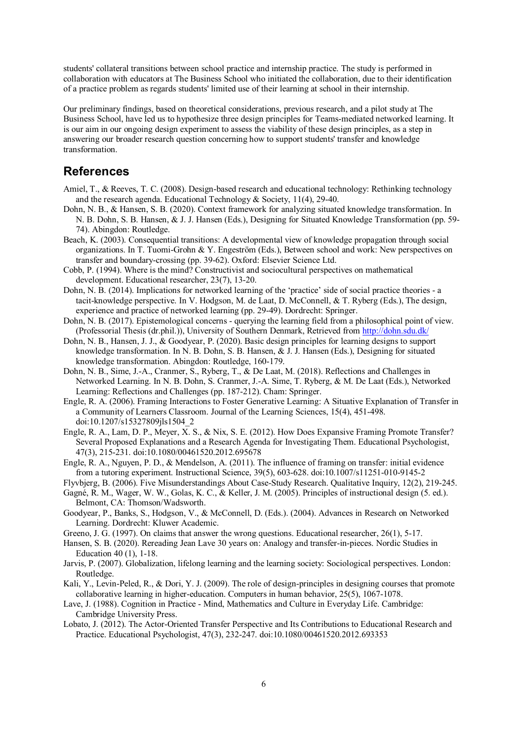students' collateral transitions between school practice and internship practice. The study is performed in collaboration with educators at The Business School who initiated the collaboration, due to their identification of a practice problem as regards students' limited use of their learning at school in their internship.

Our preliminary findings, based on theoretical considerations, previous research, and a pilot study at The Business School, have led us to hypothesize three design principles for Teams-mediated networked learning. It is our aim in our ongoing design experiment to assess the viability of these design principles, as a step in answering our broader research question concerning how to support students' transfer and knowledge transformation.

### **References**

- Amiel, T., & Reeves, T. C. (2008). Design-based research and educational technology: Rethinking technology and the research agenda. Educational Technology & Society, 11(4), 29-40.
- Dohn, N. B., & Hansen, S. B. (2020). Context framework for analyzing situated knowledge transformation. In N. B. Dohn, S. B. Hansen, & J. J. Hansen (Eds.), Designing for Situated Knowledge Transformation (pp. 59- 74). Abingdon: Routledge.
- Beach, K. (2003). Consequential transitions: A developmental view of knowledge propagation through social organizations. In T. Tuomi-Grohn & Y. Engeström (Eds.), Between school and work: New perspectives on transfer and boundary-crossing (pp. 39-62). Oxford: Elsevier Science Ltd.
- Cobb, P. (1994). Where is the mind? Constructivist and sociocultural perspectives on mathematical development. Educational researcher, 23(7), 13-20.
- Dohn, N. B. (2014). Implications for networked learning of the 'practice' side of social practice theories a tacit-knowledge perspective. In V. Hodgson, M. de Laat, D. McConnell, & T. Ryberg (Eds.), The design, experience and practice of networked learning (pp. 29-49). Dordrecht: Springer.
- Dohn, N. B. (2017). Epistemological concerns querying the learning field from a philosophical point of view. (Professorial Thesis (dr.phil.)), University of Southern Denmark, Retrieved from<http://dohn.sdu.dk/>
- Dohn, N. B., Hansen, J. J., & Goodyear, P. (2020). Basic design principles for learning designs to support knowledge transformation. In N. B. Dohn, S. B. Hansen, & J. J. Hansen (Eds.), Designing for situated knowledge transformation. Abingdon: Routledge, 160-179.
- Dohn, N. B., Sime, J.-A., Cranmer, S., Ryberg, T., & De Laat, M. (2018). Reflections and Challenges in Networked Learning. In N. B. Dohn, S. Cranmer, J.-A. Sime, T. Ryberg, & M. De Laat (Eds.), Networked Learning: Reflections and Challenges (pp. 187-212). Cham: Springer.
- Engle, R. A. (2006). Framing Interactions to Foster Generative Learning: A Situative Explanation of Transfer in a Community of Learners Classroom. Journal of the Learning Sciences, 15(4), 451-498. doi:10.1207/s15327809jls1504\_2
- Engle, R. A., Lam, D. P., Meyer, X. S., & Nix, S. E. (2012). How Does Expansive Framing Promote Transfer? Several Proposed Explanations and a Research Agenda for Investigating Them. Educational Psychologist, 47(3), 215-231. doi:10.1080/00461520.2012.695678
- Engle, R. A., Nguyen, P. D., & Mendelson, A. (2011). The influence of framing on transfer: initial evidence from a tutoring experiment. Instructional Science, 39(5), 603-628. doi:10.1007/s11251-010-9145-2
- Flyvbjerg, B. (2006). Five Misunderstandings About Case-Study Research. Qualitative Inquiry, 12(2), 219-245.
- Gagné, R. M., Wager, W. W., Golas, K. C., & Keller, J. M. (2005). Principles of instructional design (5. ed.). Belmont, CA: Thomson/Wadsworth.
- Goodyear, P., Banks, S., Hodgson, V., & McConnell, D. (Eds.). (2004). Advances in Research on Networked Learning. Dordrecht: Kluwer Academic.
- Greeno, J. G. (1997). On claims that answer the wrong questions. Educational researcher, 26(1), 5-17.
- Hansen, S. B. (2020). Rereading Jean Lave 30 years on: Analogy and transfer-in-pieces. Nordic Studies in Education 40 (1), 1-18.
- Jarvis, P. (2007). Globalization, lifelong learning and the learning society: Sociological perspectives. London: Routledge.
- Kali, Y., Levin-Peled, R., & Dori, Y. J. (2009). The role of design-principles in designing courses that promote collaborative learning in higher-education. Computers in human behavior, 25(5), 1067-1078.
- Lave, J. (1988). Cognition in Practice Mind, Mathematics and Culture in Everyday Life. Cambridge: Cambridge University Press.
- Lobato, J. (2012). The Actor-Oriented Transfer Perspective and Its Contributions to Educational Research and Practice. Educational Psychologist, 47(3), 232-247. doi:10.1080/00461520.2012.693353